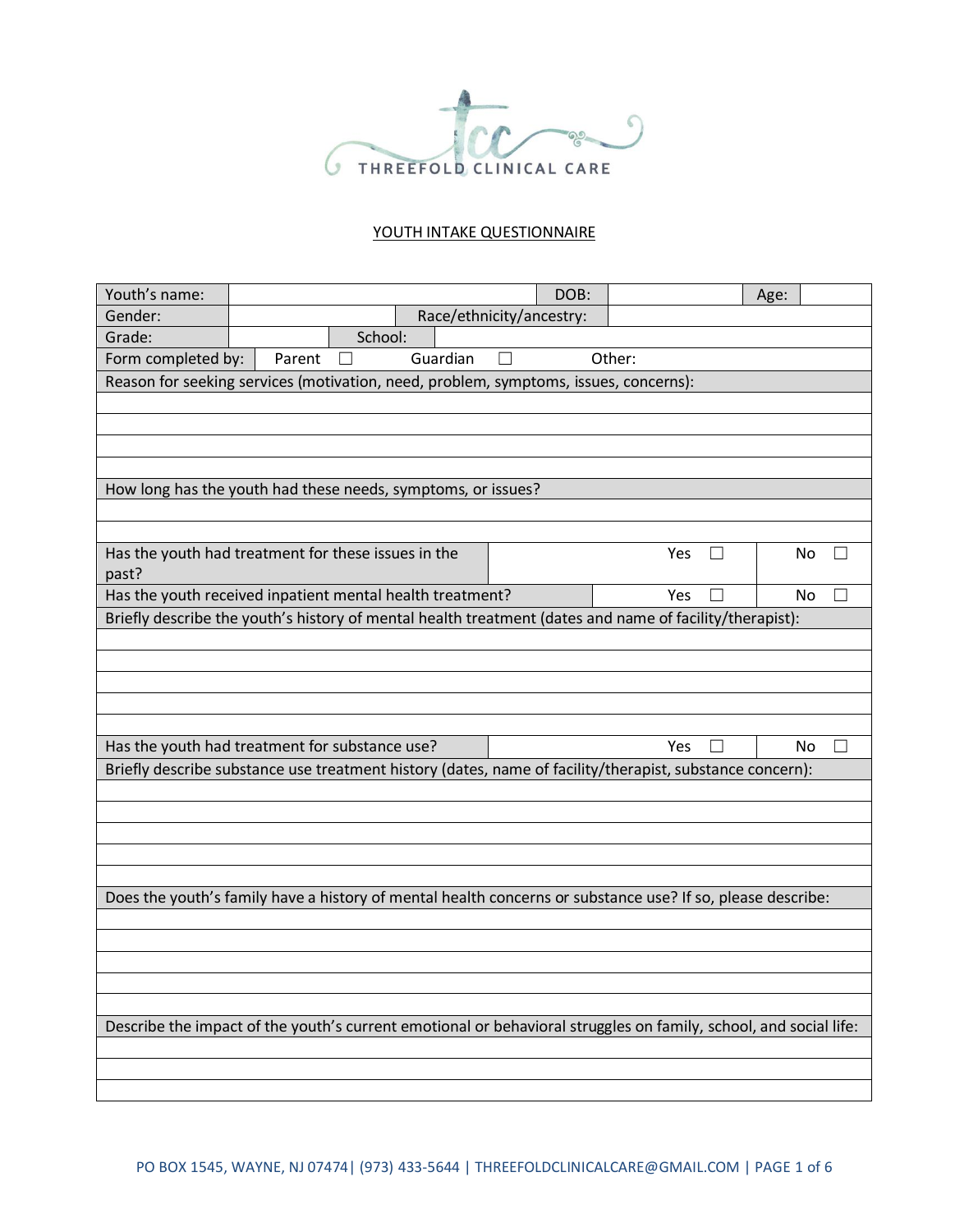

## YOUTH INTAKE QUESTIONNAIRE

| Youth's name:                                                                                                    |        |         |                          |   | DOB: |        | Age: |  |
|------------------------------------------------------------------------------------------------------------------|--------|---------|--------------------------|---|------|--------|------|--|
| Gender:                                                                                                          |        |         | Race/ethnicity/ancestry: |   |      |        |      |  |
| Grade:                                                                                                           |        | School: |                          |   |      |        |      |  |
| Form completed by:                                                                                               | Parent |         | Guardian                 | П |      | Other: |      |  |
| Reason for seeking services (motivation, need, problem, symptoms, issues, concerns):                             |        |         |                          |   |      |        |      |  |
|                                                                                                                  |        |         |                          |   |      |        |      |  |
|                                                                                                                  |        |         |                          |   |      |        |      |  |
|                                                                                                                  |        |         |                          |   |      |        |      |  |
|                                                                                                                  |        |         |                          |   |      |        |      |  |
| How long has the youth had these needs, symptoms, or issues?                                                     |        |         |                          |   |      |        |      |  |
|                                                                                                                  |        |         |                          |   |      |        |      |  |
|                                                                                                                  |        |         |                          |   |      |        |      |  |
| Has the youth had treatment for these issues in the                                                              |        |         |                          |   |      | Yes    | No   |  |
| past?<br>Has the youth received inpatient mental health treatment?                                               |        |         |                          |   |      | Yes    | No   |  |
| Briefly describe the youth's history of mental health treatment (dates and name of facility/therapist):          |        |         |                          |   |      |        |      |  |
|                                                                                                                  |        |         |                          |   |      |        |      |  |
|                                                                                                                  |        |         |                          |   |      |        |      |  |
|                                                                                                                  |        |         |                          |   |      |        |      |  |
|                                                                                                                  |        |         |                          |   |      |        |      |  |
|                                                                                                                  |        |         |                          |   |      |        |      |  |
| Has the youth had treatment for substance use?                                                                   |        |         |                          |   |      | Yes    | No.  |  |
| Briefly describe substance use treatment history (dates, name of facility/therapist, substance concern):         |        |         |                          |   |      |        |      |  |
|                                                                                                                  |        |         |                          |   |      |        |      |  |
|                                                                                                                  |        |         |                          |   |      |        |      |  |
|                                                                                                                  |        |         |                          |   |      |        |      |  |
|                                                                                                                  |        |         |                          |   |      |        |      |  |
|                                                                                                                  |        |         |                          |   |      |        |      |  |
| Does the youth's family have a history of mental health concerns or substance use? If so, please describe:       |        |         |                          |   |      |        |      |  |
|                                                                                                                  |        |         |                          |   |      |        |      |  |
|                                                                                                                  |        |         |                          |   |      |        |      |  |
|                                                                                                                  |        |         |                          |   |      |        |      |  |
|                                                                                                                  |        |         |                          |   |      |        |      |  |
|                                                                                                                  |        |         |                          |   |      |        |      |  |
| Describe the impact of the youth's current emotional or behavioral struggles on family, school, and social life: |        |         |                          |   |      |        |      |  |
|                                                                                                                  |        |         |                          |   |      |        |      |  |
|                                                                                                                  |        |         |                          |   |      |        |      |  |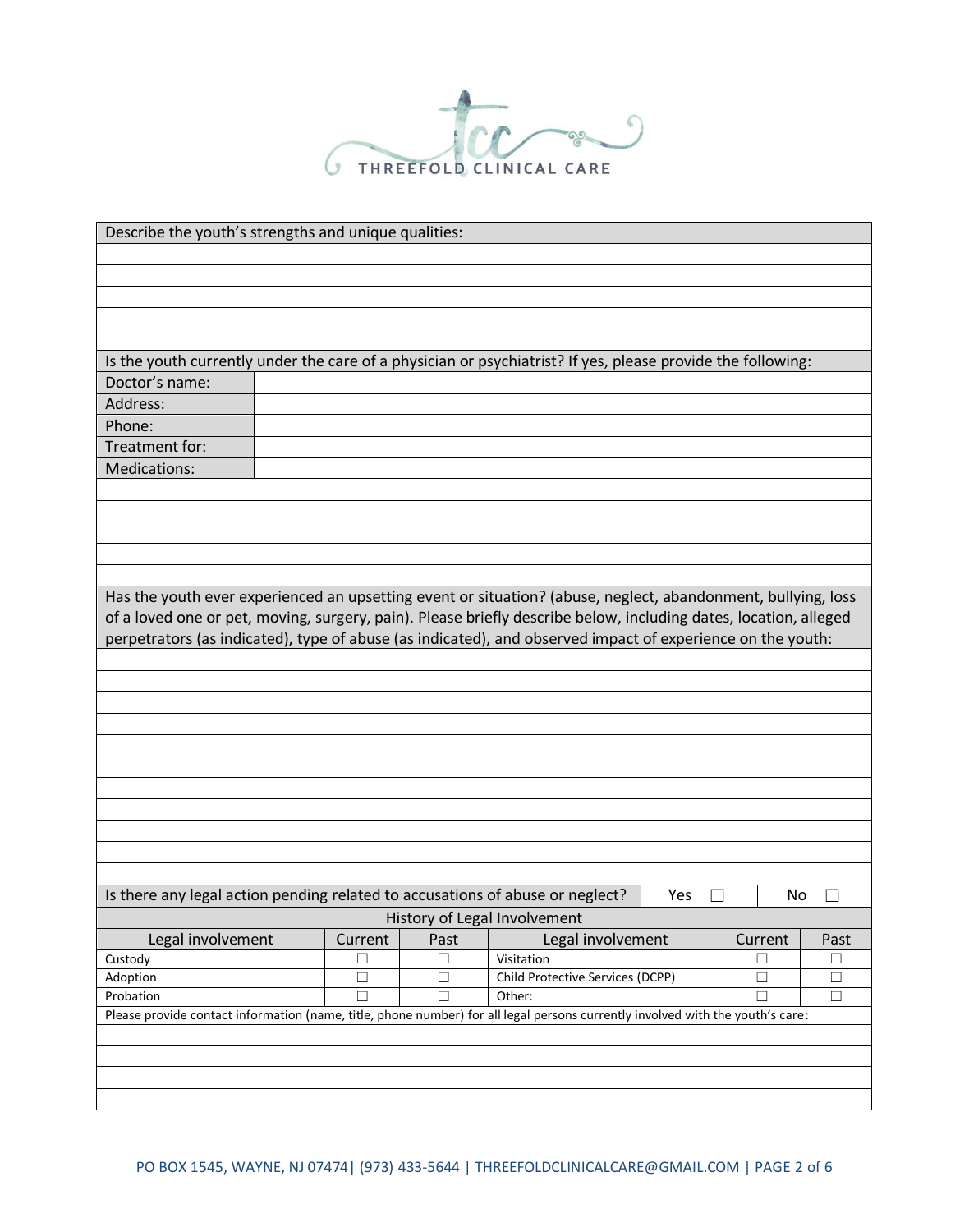

|                                                                                                                                | Describe the youth's strengths and unique qualities: |        |                                                      |     |         |        |  |  |
|--------------------------------------------------------------------------------------------------------------------------------|------------------------------------------------------|--------|------------------------------------------------------|-----|---------|--------|--|--|
|                                                                                                                                |                                                      |        |                                                      |     |         |        |  |  |
|                                                                                                                                |                                                      |        |                                                      |     |         |        |  |  |
|                                                                                                                                |                                                      |        |                                                      |     |         |        |  |  |
|                                                                                                                                |                                                      |        |                                                      |     |         |        |  |  |
| Is the youth currently under the care of a physician or psychiatrist? If yes, please provide the following:                    |                                                      |        |                                                      |     |         |        |  |  |
| Doctor's name:                                                                                                                 |                                                      |        |                                                      |     |         |        |  |  |
| Address:                                                                                                                       |                                                      |        |                                                      |     |         |        |  |  |
| Phone:                                                                                                                         |                                                      |        |                                                      |     |         |        |  |  |
| Treatment for:                                                                                                                 |                                                      |        |                                                      |     |         |        |  |  |
| Medications:                                                                                                                   |                                                      |        |                                                      |     |         |        |  |  |
|                                                                                                                                |                                                      |        |                                                      |     |         |        |  |  |
|                                                                                                                                |                                                      |        |                                                      |     |         |        |  |  |
|                                                                                                                                |                                                      |        |                                                      |     |         |        |  |  |
|                                                                                                                                |                                                      |        |                                                      |     |         |        |  |  |
|                                                                                                                                |                                                      |        |                                                      |     |         |        |  |  |
| Has the youth ever experienced an upsetting event or situation? (abuse, neglect, abandonment, bullying, loss                   |                                                      |        |                                                      |     |         |        |  |  |
| of a loved one or pet, moving, surgery, pain). Please briefly describe below, including dates, location, alleged               |                                                      |        |                                                      |     |         |        |  |  |
| perpetrators (as indicated), type of abuse (as indicated), and observed impact of experience on the youth:                     |                                                      |        |                                                      |     |         |        |  |  |
|                                                                                                                                |                                                      |        |                                                      |     |         |        |  |  |
|                                                                                                                                |                                                      |        |                                                      |     |         |        |  |  |
|                                                                                                                                |                                                      |        |                                                      |     |         |        |  |  |
|                                                                                                                                |                                                      |        |                                                      |     |         |        |  |  |
|                                                                                                                                |                                                      |        |                                                      |     |         |        |  |  |
|                                                                                                                                |                                                      |        |                                                      |     |         |        |  |  |
|                                                                                                                                |                                                      |        |                                                      |     |         |        |  |  |
|                                                                                                                                |                                                      |        |                                                      |     |         |        |  |  |
|                                                                                                                                |                                                      |        |                                                      |     |         |        |  |  |
|                                                                                                                                |                                                      |        |                                                      |     |         |        |  |  |
|                                                                                                                                |                                                      |        |                                                      |     |         |        |  |  |
| Is there any legal action pending related to accusations of abuse or neglect?                                                  |                                                      |        |                                                      | Yes | No      |        |  |  |
|                                                                                                                                |                                                      |        | History of Legal Involvement                         |     |         |        |  |  |
| Legal involvement                                                                                                              | Current                                              | Past   | Legal involvement                                    |     | Current | Past   |  |  |
| Custody                                                                                                                        | $\Box$                                               | $\Box$ | Visitation                                           |     | $\Box$  | $\Box$ |  |  |
| Adoption                                                                                                                       | $\Box$                                               | $\Box$ | Child Protective Services (DCPP)<br>$\Box$<br>$\Box$ |     |         |        |  |  |
| Probation                                                                                                                      | $\Box$                                               | $\Box$ | Other:                                               |     | $\Box$  | $\Box$ |  |  |
| Please provide contact information (name, title, phone number) for all legal persons currently involved with the youth's care: |                                                      |        |                                                      |     |         |        |  |  |
|                                                                                                                                |                                                      |        |                                                      |     |         |        |  |  |
|                                                                                                                                |                                                      |        |                                                      |     |         |        |  |  |
|                                                                                                                                |                                                      |        |                                                      |     |         |        |  |  |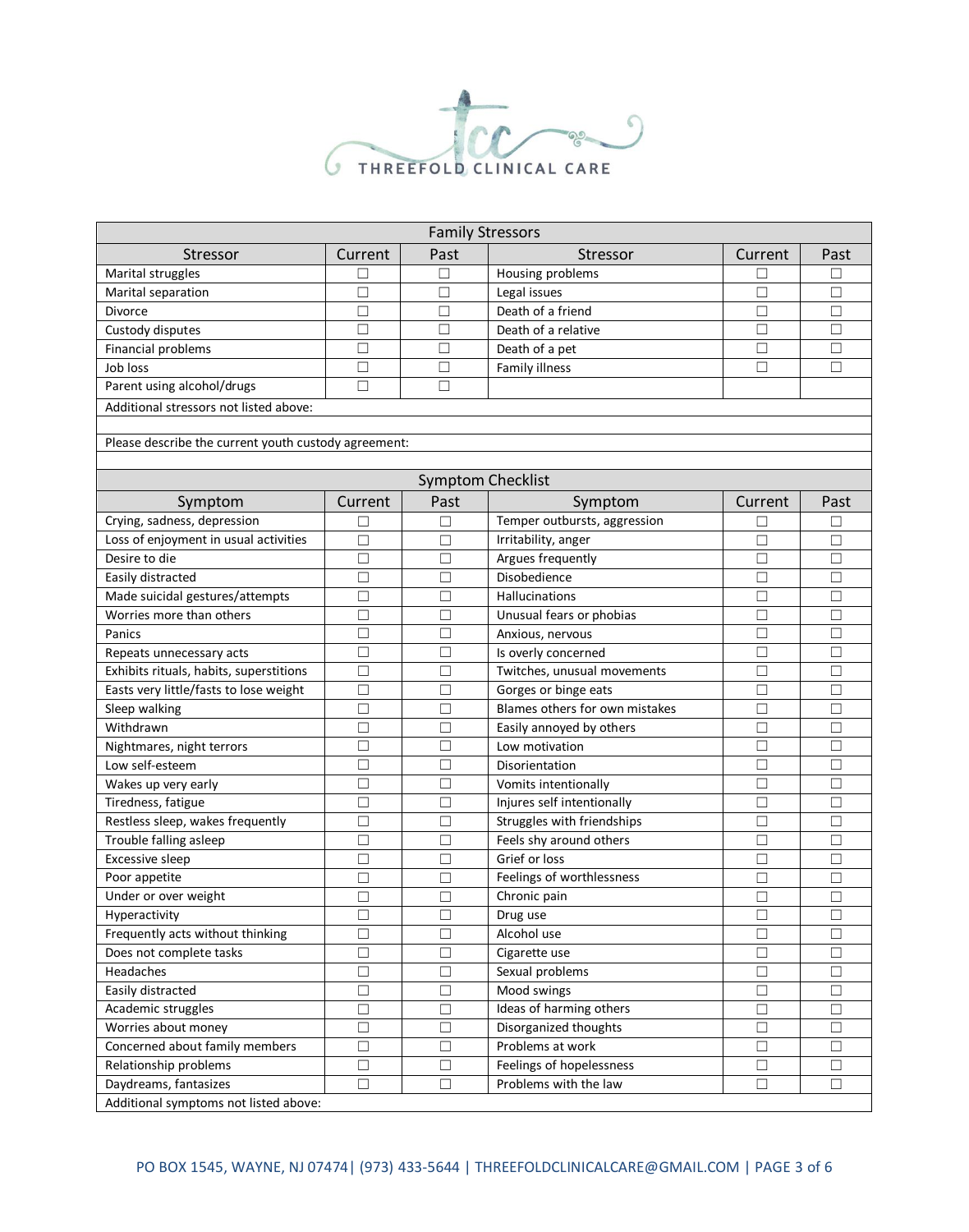

|                                                      |         | <b>Family Stressors</b>  |                                |         |        |  |  |
|------------------------------------------------------|---------|--------------------------|--------------------------------|---------|--------|--|--|
| Stressor                                             | Current | Past                     | Stressor                       | Current | Past   |  |  |
| Marital struggles                                    | □       | ⊔                        | Housing problems               |         |        |  |  |
| Marital separation                                   | $\Box$  | $\Box$                   | Legal issues                   | □       | □      |  |  |
| <b>Divorce</b>                                       | □       | □                        | Death of a friend              | □       | □      |  |  |
| Custody disputes                                     | □       | $\Box$                   | Death of a relative            | □       |        |  |  |
| Financial problems                                   | □       | □                        | Death of a pet                 | □       | П      |  |  |
| Job loss                                             | □       | □                        | Family illness                 | $\Box$  | П      |  |  |
| Parent using alcohol/drugs                           | □       | П                        |                                |         |        |  |  |
| Additional stressors not listed above:               |         |                          |                                |         |        |  |  |
|                                                      |         |                          |                                |         |        |  |  |
| Please describe the current youth custody agreement: |         |                          |                                |         |        |  |  |
|                                                      |         |                          |                                |         |        |  |  |
|                                                      |         | <b>Symptom Checklist</b> |                                |         |        |  |  |
| Symptom                                              | Current | Past                     | Symptom                        | Current | Past   |  |  |
| Crying, sadness, depression                          | □       | $\Box$                   | Temper outbursts, aggression   | □       | □      |  |  |
| Loss of enjoyment in usual activities                | □       | $\Box$                   | Irritability, anger            | □       | □      |  |  |
| Desire to die                                        | П       | П                        | Argues frequently              | □       | П      |  |  |
| Easily distracted                                    | П       | П                        | Disobedience                   | □       | П      |  |  |
| Made suicidal gestures/attempts                      | П       | П                        | Hallucinations                 | □       |        |  |  |
| Worries more than others                             | □       | $\Box$                   | Unusual fears or phobias       | $\Box$  | □      |  |  |
| Panics                                               | П       | $\Box$                   | Anxious, nervous               | $\Box$  | П      |  |  |
| Repeats unnecessary acts                             | □       | □                        | Is overly concerned            | □       | $\Box$ |  |  |
| Exhibits rituals, habits, superstitions              | П       | □                        | Twitches, unusual movements    | □       |        |  |  |
| Easts very little/fasts to lose weight               | □       | □                        | Gorges or binge eats           | □       | □      |  |  |
| Sleep walking                                        | □       | $\Box$                   | Blames others for own mistakes | □       | П      |  |  |
| Withdrawn                                            | □       | □                        | Easily annoyed by others       | □       | $\Box$ |  |  |
| Nightmares, night terrors                            | П       | П                        | Low motivation                 | П       | П      |  |  |
| Low self-esteem                                      | П       | $\Box$                   | Disorientation                 | □       | □      |  |  |
| Wakes up very early                                  | □       | $\Box$                   | Vomits intentionally           | $\Box$  | $\Box$ |  |  |
| Tiredness, fatigue                                   | □       | $\Box$                   | Injures self intentionally     | $\Box$  | $\Box$ |  |  |
| Restless sleep, wakes frequently                     | $\Box$  | □                        | Struggles with friendships     | $\Box$  | П      |  |  |
| Trouble falling asleep                               | П       | П                        | Feels shy around others        | П       |        |  |  |
| Excessive sleep                                      | П       | П                        | Grief or loss                  | □       | □      |  |  |
| Poor appetite                                        | □       | □                        | Feelings of worthlessness      |         |        |  |  |
| Under or over weight                                 | □       | $\Box$                   | Chronic pain                   | □       | □      |  |  |
| Hyperactivity                                        | □       | $\Box$                   | Drug use                       | $\Box$  | □      |  |  |
| Frequently acts without thinking                     | $\Box$  | $\Box$                   | Alcohol use                    | $\Box$  | П      |  |  |
| Does not complete tasks                              | $\Box$  | $\Box$                   | Cigarette use                  | $\Box$  | $\Box$ |  |  |
| Headaches                                            | $\Box$  | $\Box$                   | Sexual problems                | $\Box$  | $\Box$ |  |  |
| Easily distracted                                    | $\Box$  | $\Box$                   | Mood swings                    | $\Box$  | $\Box$ |  |  |
| Academic struggles                                   | $\Box$  | $\Box$                   | Ideas of harming others        | $\Box$  | $\Box$ |  |  |
| Worries about money                                  | $\Box$  | $\Box$                   | Disorganized thoughts          | $\Box$  | $\Box$ |  |  |
| Concerned about family members                       | $\Box$  | $\Box$                   | Problems at work               | $\Box$  | $\Box$ |  |  |
| Relationship problems                                | $\Box$  | $\Box$                   | Feelings of hopelessness       | $\Box$  | $\Box$ |  |  |
| Daydreams, fantasizes                                | $\Box$  | $\Box$                   | Problems with the law          | $\Box$  | $\Box$ |  |  |
| Additional symptoms not listed above:                |         |                          |                                |         |        |  |  |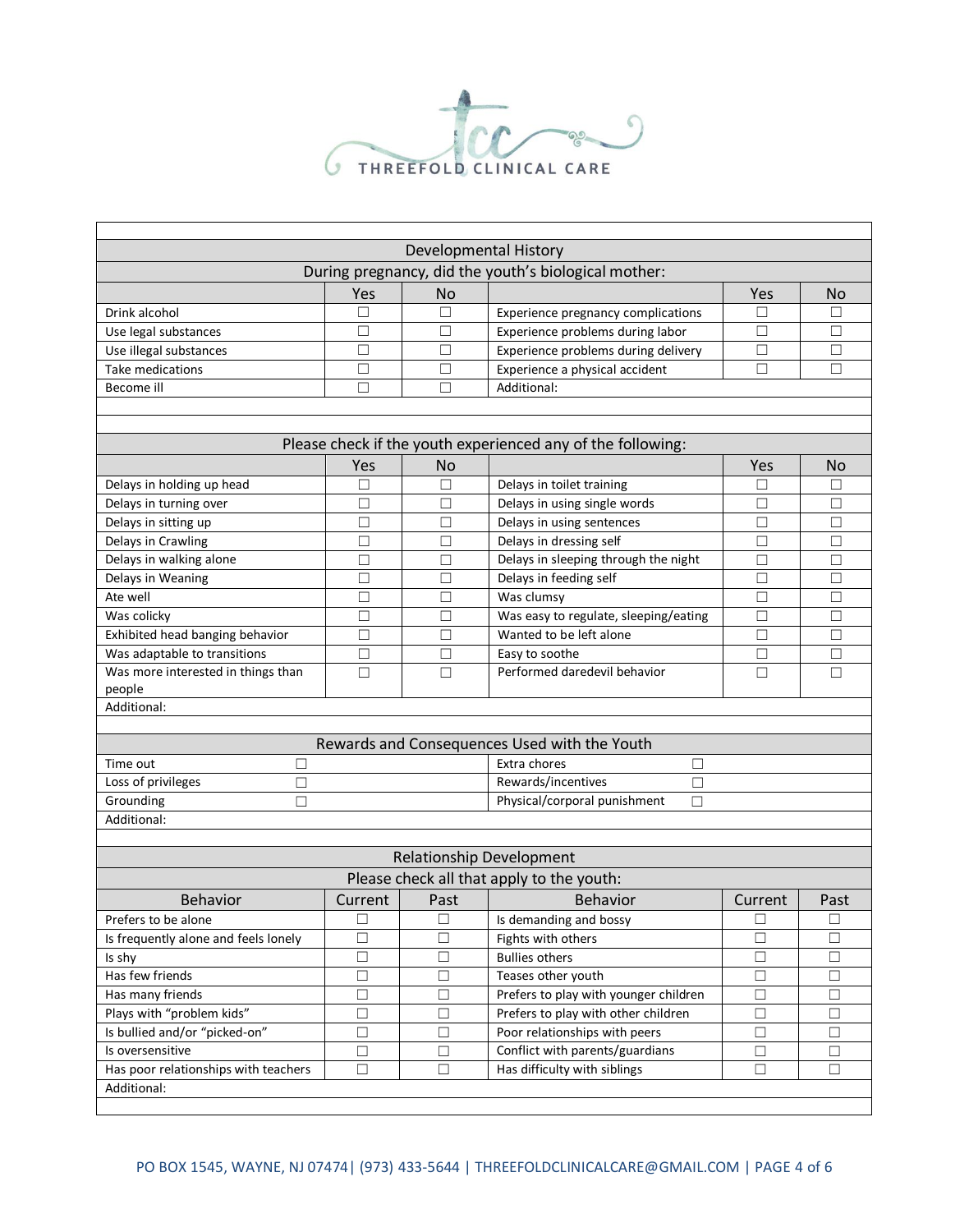

|                                                             |         |           | <b>Developmental History</b>                         |         |           |  |  |  |
|-------------------------------------------------------------|---------|-----------|------------------------------------------------------|---------|-----------|--|--|--|
|                                                             |         |           | During pregnancy, did the youth's biological mother: |         |           |  |  |  |
|                                                             | Yes     | <b>No</b> |                                                      | Yes     | <b>No</b> |  |  |  |
| Drink alcohol                                               | П       | П         | Experience pregnancy complications                   | П       | П         |  |  |  |
| Use legal substances                                        | □       | □         | Experience problems during labor                     | $\Box$  | П         |  |  |  |
| Use illegal substances                                      | □       | $\Box$    | Experience problems during delivery                  | $\Box$  | П         |  |  |  |
| <b>Take medications</b>                                     | □       | $\Box$    | Experience a physical accident                       | $\Box$  | П         |  |  |  |
| Additional:<br>Become ill<br>□<br>$\Box$                    |         |           |                                                      |         |           |  |  |  |
|                                                             |         |           |                                                      |         |           |  |  |  |
|                                                             |         |           |                                                      |         |           |  |  |  |
| Please check if the youth experienced any of the following: |         |           |                                                      |         |           |  |  |  |
|                                                             | Yes     | <b>No</b> |                                                      | Yes     | No        |  |  |  |
| Delays in holding up head                                   | Е       | □         | Delays in toilet training                            | $\Box$  | П         |  |  |  |
| Delays in turning over                                      | □       | □         | Delays in using single words                         | □       | □         |  |  |  |
| Delays in sitting up                                        | $\Box$  | □         | Delays in using sentences                            | $\Box$  | □         |  |  |  |
| Delays in Crawling                                          | $\Box$  | $\Box$    | Delays in dressing self                              | $\Box$  | □         |  |  |  |
| Delays in walking alone                                     | □       | $\Box$    | Delays in sleeping through the night                 | $\Box$  | □         |  |  |  |
| Delays in Weaning                                           | □       | □         | Delays in feeding self                               | $\Box$  | П         |  |  |  |
| Ate well                                                    | □       | П         | Was clumsy                                           | $\Box$  | П         |  |  |  |
| Was colicky                                                 | □       | П         | Was easy to regulate, sleeping/eating                | $\Box$  | П         |  |  |  |
| Exhibited head banging behavior                             | □       | □         | Wanted to be left alone                              | □       | П         |  |  |  |
| Was adaptable to transitions                                | □       | □         | Easy to soothe                                       | $\Box$  | □         |  |  |  |
| Was more interested in things than                          | □       | П         | Performed daredevil behavior                         | □       | П         |  |  |  |
| people                                                      |         |           |                                                      |         |           |  |  |  |
| Additional:                                                 |         |           |                                                      |         |           |  |  |  |
|                                                             |         |           |                                                      |         |           |  |  |  |
|                                                             |         |           | Rewards and Consequences Used with the Youth         |         |           |  |  |  |
| Time out<br>□                                               |         |           | Extra chores<br>□                                    |         |           |  |  |  |
| Rewards/incentives<br>Loss of privileges<br>□<br>□          |         |           |                                                      |         |           |  |  |  |
| Grounding<br>$\Box$                                         |         |           | Physical/corporal punishment<br>□                    |         |           |  |  |  |
| Additional:                                                 |         |           |                                                      |         |           |  |  |  |
|                                                             |         |           |                                                      |         |           |  |  |  |
|                                                             |         |           | <b>Relationship Development</b>                      |         |           |  |  |  |
|                                                             |         |           | Please check all that apply to the youth:            |         |           |  |  |  |
| <b>Behavior</b>                                             | Current | Past      | <b>Behavior</b>                                      | Current | Past      |  |  |  |
| Prefers to be alone                                         | □       | $\Box$    | Is demanding and bossy                               | $\Box$  | $\Box$    |  |  |  |
| Is frequently alone and feels lonely                        | $\Box$  | П         | Fights with others                                   | $\Box$  | $\Box$    |  |  |  |
| Is shy                                                      | $\Box$  | $\Box$    | <b>Bullies others</b>                                | $\Box$  | $\Box$    |  |  |  |
| Has few friends                                             | $\Box$  | $\Box$    | Teases other youth                                   | $\Box$  | $\Box$    |  |  |  |
| Has many friends                                            | □       | $\Box$    | Prefers to play with younger children                | $\Box$  | $\Box$    |  |  |  |
| Plays with "problem kids"                                   | □       | $\Box$    | Prefers to play with other children                  | $\Box$  | $\Box$    |  |  |  |
| Is bullied and/or "picked-on"                               | $\Box$  | $\Box$    | Poor relationships with peers                        | $\Box$  | П         |  |  |  |
| Is oversensitive                                            | $\Box$  | $\Box$    | Conflict with parents/guardians                      | $\Box$  | П         |  |  |  |
| Has poor relationships with teachers                        | $\Box$  | $\Box$    | Has difficulty with siblings                         | $\Box$  | □         |  |  |  |
| Additional:                                                 |         |           |                                                      |         |           |  |  |  |
|                                                             |         |           |                                                      |         |           |  |  |  |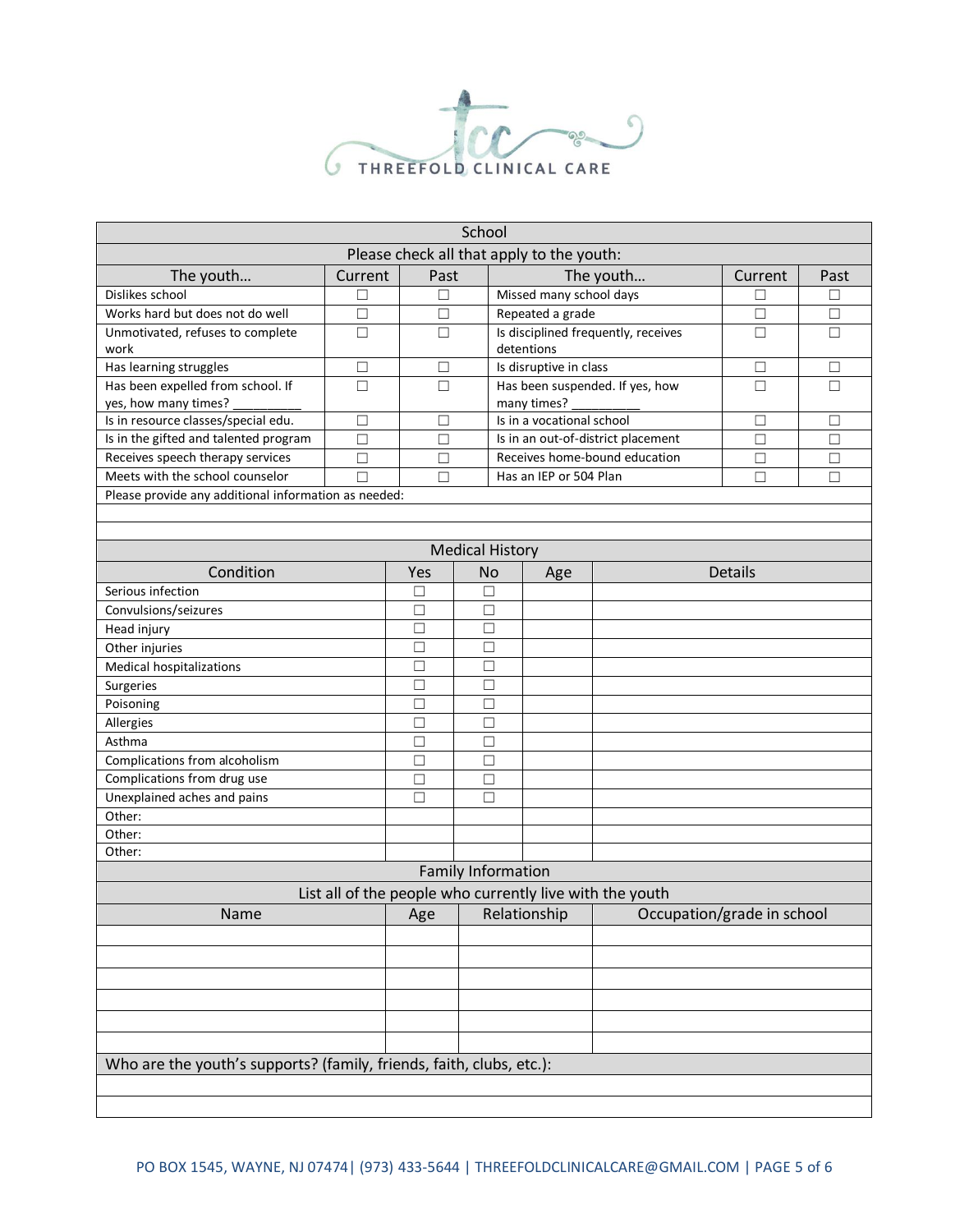

| School                                                               |        |                                           |           |                                                   |                            |                                                          |         |        |
|----------------------------------------------------------------------|--------|-------------------------------------------|-----------|---------------------------------------------------|----------------------------|----------------------------------------------------------|---------|--------|
|                                                                      |        | Please check all that apply to the youth: |           |                                                   |                            |                                                          |         |        |
| The youth<br>Current                                                 |        | Past                                      |           | The youth                                         |                            | Current                                                  | Past    |        |
| Dislikes school<br>□                                                 |        | □                                         |           | Missed many school days                           |                            |                                                          | П       | □      |
| Works hard but does not do well                                      | $\Box$ | П                                         |           | Repeated a grade                                  |                            |                                                          | П       | □      |
| Unmotivated, refuses to complete<br>work                             | $\Box$ | $\Box$                                    |           | Is disciplined frequently, receives<br>detentions |                            |                                                          | $\Box$  | $\Box$ |
| Has learning struggles                                               | $\Box$ | $\Box$                                    |           | Is disruptive in class                            |                            |                                                          | $\Box$  | □      |
| Has been expelled from school. If<br>$\Box$<br>yes, how many times?  |        | $\Box$                                    |           | many times?                                       |                            | Has been suspended. If yes, how                          | $\Box$  | $\Box$ |
| Is in resource classes/special edu.                                  | $\Box$ | $\Box$                                    |           | Is in a vocational school                         |                            |                                                          | $\Box$  | $\Box$ |
| Is in the gifted and talented program                                | $\Box$ | $\Box$                                    |           |                                                   |                            | Is in an out-of-district placement                       | $\Box$  | $\Box$ |
| Receives speech therapy services                                     | $\Box$ | □                                         |           |                                                   |                            | Receives home-bound education                            | $\Box$  | □      |
| Meets with the school counselor                                      | $\Box$ | $\Box$                                    |           | Has an IEP or 504 Plan                            |                            |                                                          | П       | П      |
| Please provide any additional information as needed:                 |        |                                           |           |                                                   |                            |                                                          |         |        |
|                                                                      |        |                                           |           |                                                   |                            |                                                          |         |        |
|                                                                      |        |                                           |           |                                                   |                            |                                                          |         |        |
|                                                                      |        |                                           |           | <b>Medical History</b>                            |                            |                                                          |         |        |
| Condition                                                            |        | Yes                                       | <b>No</b> |                                                   | Age                        |                                                          | Details |        |
| Serious infection                                                    |        | $\Box$                                    | $\Box$    |                                                   |                            |                                                          |         |        |
| Convulsions/seizures                                                 |        | $\Box$                                    | $\Box$    |                                                   |                            |                                                          |         |        |
| Head injury                                                          |        | $\Box$                                    | $\Box$    |                                                   |                            |                                                          |         |        |
| Other injuries                                                       |        | $\Box$<br>$\Box$                          |           |                                                   |                            |                                                          |         |        |
| Medical hospitalizations                                             |        | $\Box$                                    | $\Box$    |                                                   |                            |                                                          |         |        |
| Surgeries                                                            |        | $\Box$                                    | $\Box$    |                                                   |                            |                                                          |         |        |
| Poisoning                                                            |        | $\Box$                                    | □         |                                                   |                            |                                                          |         |        |
| Allergies                                                            |        | $\Box$                                    | $\Box$    |                                                   |                            |                                                          |         |        |
| Asthma                                                               |        | $\Box$                                    | □         |                                                   |                            |                                                          |         |        |
| Complications from alcoholism                                        |        | □<br>$\Box$                               | □<br>П    |                                                   |                            |                                                          |         |        |
| Complications from drug use<br>Unexplained aches and pains           |        | $\Box$                                    | $\Box$    |                                                   |                            |                                                          |         |        |
| Other:                                                               |        |                                           |           |                                                   |                            |                                                          |         |        |
| Other:                                                               |        |                                           |           |                                                   |                            |                                                          |         |        |
| Other:                                                               |        |                                           |           |                                                   |                            |                                                          |         |        |
|                                                                      |        |                                           |           | <b>Family Information</b>                         |                            |                                                          |         |        |
|                                                                      |        |                                           |           |                                                   |                            | List all of the people who currently live with the youth |         |        |
| Name                                                                 |        | Age<br>Relationship                       |           |                                                   | Occupation/grade in school |                                                          |         |        |
|                                                                      |        |                                           |           |                                                   |                            |                                                          |         |        |
|                                                                      |        |                                           |           |                                                   |                            |                                                          |         |        |
|                                                                      |        |                                           |           |                                                   |                            |                                                          |         |        |
|                                                                      |        |                                           |           |                                                   |                            |                                                          |         |        |
|                                                                      |        |                                           |           |                                                   |                            |                                                          |         |        |
|                                                                      |        |                                           |           |                                                   |                            |                                                          |         |        |
|                                                                      |        |                                           |           |                                                   |                            |                                                          |         |        |
| Who are the youth's supports? (family, friends, faith, clubs, etc.): |        |                                           |           |                                                   |                            |                                                          |         |        |
|                                                                      |        |                                           |           |                                                   |                            |                                                          |         |        |
|                                                                      |        |                                           |           |                                                   |                            |                                                          |         |        |